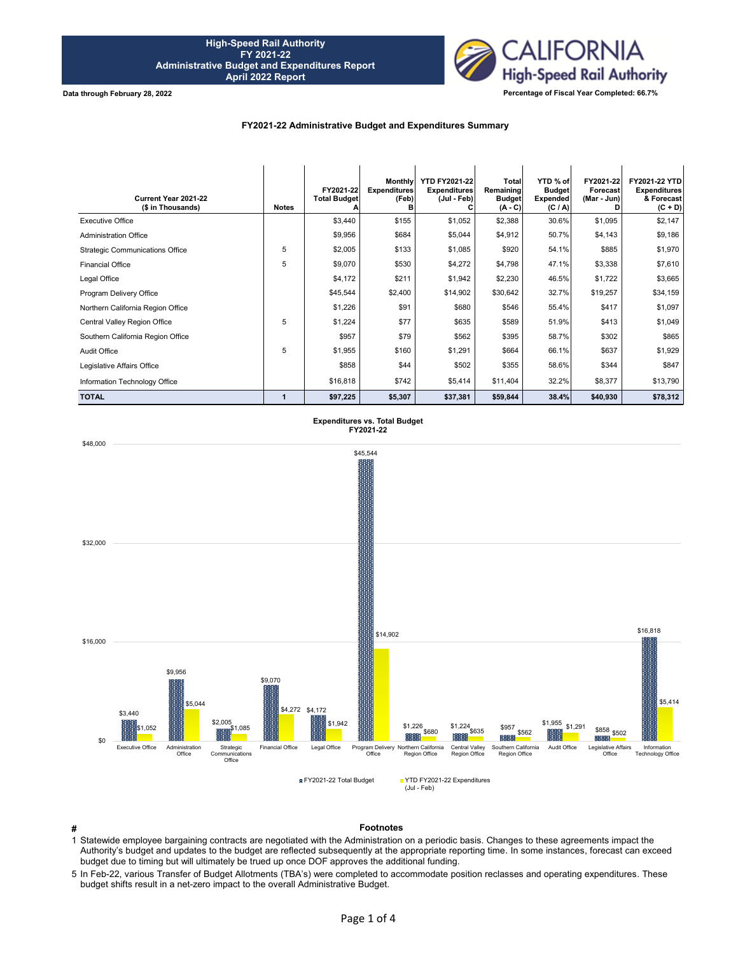

**Data through February 28, 2022**

# **FY2021-22 Administrative Budget and Expenditures Summary**

| Current Year 2021-22<br>(\$ in Thousands) | <b>Notes</b> | FY2021-22<br><b>Total Budget</b> | Monthly<br><b>Expenditures</b><br>(Feb)<br>в | <b>YTD FY2021-22</b><br><b>Expenditures</b><br>(Jul - Feb) | Total<br>Remaining<br><b>Budget</b><br>$(A - C)$ | YTD % of<br><b>Budget</b><br><b>Expended</b><br>(C / A) | FY2021-22<br>Forecast<br>(Mar - Jun)<br>n | FY2021-22 YTD<br><b>Expenditures</b><br>& Forecast<br>$(C + D)$ |
|-------------------------------------------|--------------|----------------------------------|----------------------------------------------|------------------------------------------------------------|--------------------------------------------------|---------------------------------------------------------|-------------------------------------------|-----------------------------------------------------------------|
| <b>Executive Office</b>                   |              | \$3,440                          | \$155                                        | \$1,052                                                    | \$2,388                                          | 30.6%                                                   | \$1,095                                   | \$2,147                                                         |
| <b>Administration Office</b>              |              | \$9,956                          | \$684                                        | \$5,044                                                    | \$4,912                                          | 50.7%                                                   | \$4,143                                   | \$9,186                                                         |
| <b>Strategic Communications Office</b>    | 5            | \$2,005                          | \$133                                        | \$1,085                                                    | \$920                                            | 54.1%                                                   | \$885                                     | \$1,970                                                         |
| <b>Financial Office</b>                   | 5            | \$9,070                          | \$530                                        | \$4,272                                                    | \$4,798                                          | 47.1%                                                   | \$3,338                                   | \$7,610                                                         |
| Legal Office                              |              | \$4,172                          | \$211                                        | \$1,942                                                    | \$2,230                                          | 46.5%                                                   | \$1,722                                   | \$3,665                                                         |
| Program Delivery Office                   |              | \$45,544                         | \$2,400                                      | \$14,902                                                   | \$30,642                                         | 32.7%                                                   | \$19,257                                  | \$34,159                                                        |
| Northern California Region Office         |              | \$1,226                          | \$91                                         | \$680                                                      | \$546                                            | 55.4%                                                   | \$417                                     | \$1,097                                                         |
| Central Valley Region Office              | 5            | \$1,224                          | \$77                                         | \$635                                                      | \$589                                            | 51.9%                                                   | \$413                                     | \$1,049                                                         |
| Southern California Region Office         |              | \$957                            | \$79                                         | \$562                                                      | \$395                                            | 58.7%                                                   | \$302                                     | \$865                                                           |
| Audit Office                              | 5            | \$1,955                          | \$160                                        | \$1,291                                                    | \$664                                            | 66.1%                                                   | \$637                                     | \$1,929                                                         |
| Legislative Affairs Office                |              | \$858                            | \$44                                         | \$502                                                      | \$355                                            | 58.6%                                                   | \$344                                     | \$847                                                           |
| Information Technology Office             |              | \$16,818                         | \$742                                        | \$5,414                                                    | \$11,404                                         | 32.2%                                                   | \$8,377                                   | \$13,790                                                        |
| <b>TOTAL</b>                              |              | \$97,225                         | \$5,307                                      | \$37,381                                                   | \$59,844                                         | 38.4%                                                   | \$40,930                                  | \$78,312                                                        |



**# Footnotes**

1 Statewide employee bargaining contracts are negotiated with the Administration on a periodic basis. Changes to these agreements impact the Authority's budget and updates to the budget are reflected subsequently at the appropriate reporting time. In some instances, forecast can exceed budget due to timing but will ultimately be trued up once DOF approves the additional funding.

5 In Feb-22, various Transfer of Budget Allotments (TBA's) were completed to accommodate position reclasses and operating expenditures. These budget shifts result in a net-zero impact to the overall Administrative Budget.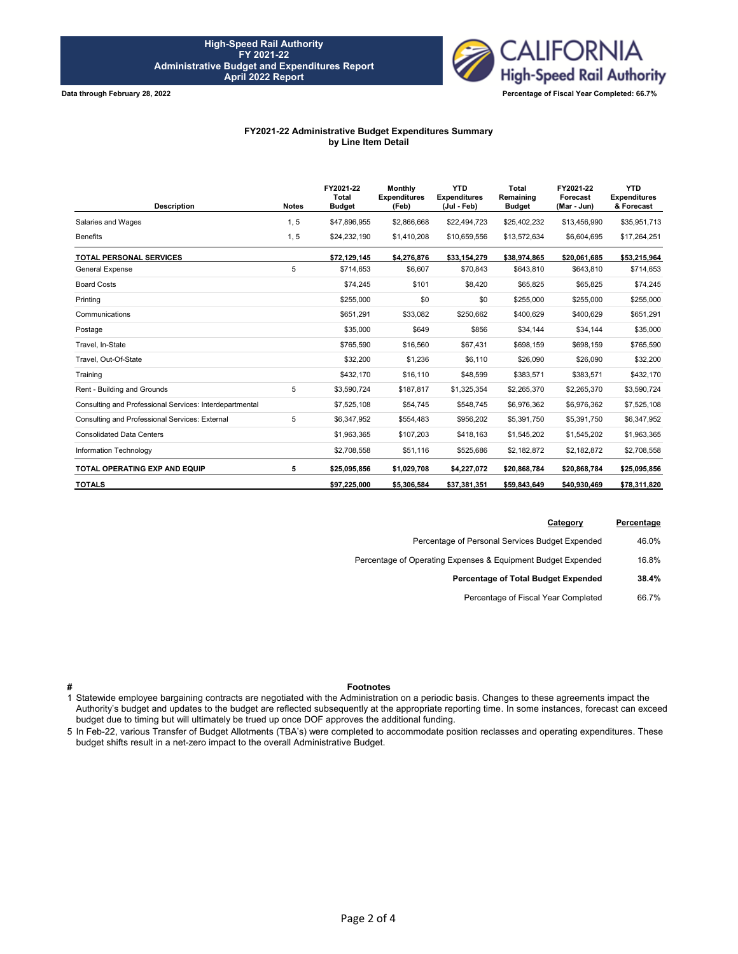

**Data through February 28, 2022**

### **FY2021-22 Administrative Budget Expenditures Summary by Line Item Detail**

| <b>Description</b>                                      | <b>Notes</b> | FY2021-22<br><b>Total</b><br><b>Budget</b> | <b>Monthly</b><br><b>Expenditures</b><br>(Feb) | <b>YTD</b><br><b>Expenditures</b><br>(Jul - Feb) | <b>Total</b><br>Remaining<br><b>Budget</b> | FY2021-22<br>Forecast<br>(Mar - Jun) | <b>YTD</b><br><b>Expenditures</b><br>& Forecast |
|---------------------------------------------------------|--------------|--------------------------------------------|------------------------------------------------|--------------------------------------------------|--------------------------------------------|--------------------------------------|-------------------------------------------------|
| Salaries and Wages                                      | 1, 5         | \$47,896,955                               | \$2,866,668                                    | \$22,494,723                                     | \$25,402,232                               | \$13,456,990                         | \$35,951,713                                    |
| <b>Benefits</b>                                         | 1, 5         | \$24,232,190                               | \$1,410,208                                    | \$10,659,556                                     | \$13,572,634                               | \$6,604,695                          | \$17,264,251                                    |
| <b>TOTAL PERSONAL SERVICES</b>                          |              | \$72,129,145                               | \$4,276,876                                    | \$33,154,279                                     | \$38,974,865                               | \$20.061.685                         | \$53,215,964                                    |
| <b>General Expense</b>                                  | 5            | \$714,653                                  | \$6,607                                        | \$70,843                                         | \$643,810                                  | \$643,810                            | \$714,653                                       |
| <b>Board Costs</b>                                      |              | \$74,245                                   | \$101                                          | \$8,420                                          | \$65,825                                   | \$65,825                             | \$74,245                                        |
| Printing                                                |              | \$255,000                                  | \$0                                            | \$0                                              | \$255,000                                  | \$255,000                            | \$255,000                                       |
| Communications                                          |              | \$651,291                                  | \$33,082                                       | \$250,662                                        | \$400,629                                  | \$400,629                            | \$651,291                                       |
| Postage                                                 |              | \$35,000                                   | \$649                                          | \$856                                            | \$34,144                                   | \$34,144                             | \$35,000                                        |
| Travel, In-State                                        |              | \$765,590                                  | \$16,560                                       | \$67,431                                         | \$698,159                                  | \$698,159                            | \$765,590                                       |
| Travel, Out-Of-State                                    |              | \$32,200                                   | \$1,236                                        | \$6,110                                          | \$26,090                                   | \$26,090                             | \$32,200                                        |
| Training                                                |              | \$432,170                                  | \$16,110                                       | \$48,599                                         | \$383,571                                  | \$383,571                            | \$432,170                                       |
| Rent - Building and Grounds                             | 5            | \$3,590,724                                | \$187,817                                      | \$1,325,354                                      | \$2,265,370                                | \$2,265,370                          | \$3,590,724                                     |
| Consulting and Professional Services: Interdepartmental |              | \$7,525,108                                | \$54.745                                       | \$548,745                                        | \$6,976,362                                | \$6,976,362                          | \$7,525,108                                     |
| Consulting and Professional Services: External          | 5            | \$6,347,952                                | \$554,483                                      | \$956,202                                        | \$5,391,750                                | \$5,391,750                          | \$6,347,952                                     |
| <b>Consolidated Data Centers</b>                        |              | \$1,963,365                                | \$107,203                                      | \$418,163                                        | \$1,545,202                                | \$1,545,202                          | \$1,963,365                                     |
| Information Technology                                  |              | \$2,708,558                                | \$51,116                                       | \$525,686                                        | \$2,182,872                                | \$2,182,872                          | \$2,708,558                                     |
| <b>TOTAL OPERATING EXP AND EQUIP</b>                    | 5            | \$25,095,856                               | \$1,029,708                                    | \$4,227,072                                      | \$20.868.784                               | \$20,868,784                         | \$25,095,856                                    |
| <b>TOTALS</b>                                           |              | \$97.225.000                               | \$5,306,584                                    | \$37,381,351                                     | \$59,843,649                               | \$40,930,469                         | \$78,311,820                                    |

| Percentage | Category                                                     |
|------------|--------------------------------------------------------------|
| 46.0%      | Percentage of Personal Services Budget Expended              |
| 16.8%      | Percentage of Operating Expenses & Equipment Budget Expended |
| 38.4%      | Percentage of Total Budget Expended                          |
| 66.7%      | Percentage of Fiscal Year Completed                          |
|            |                                                              |

### **# Footnotes**

1 Statewide employee bargaining contracts are negotiated with the Administration on a periodic basis. Changes to these agreements impact the Authority's budget and updates to the budget are reflected subsequently at the appropriate reporting time. In some instances, forecast can exceed budget due to timing but will ultimately be trued up once DOF approves the additional funding.

5 In Feb-22, various Transfer of Budget Allotments (TBA's) were completed to accommodate position reclasses and operating expenditures. These budget shifts result in a net-zero impact to the overall Administrative Budget.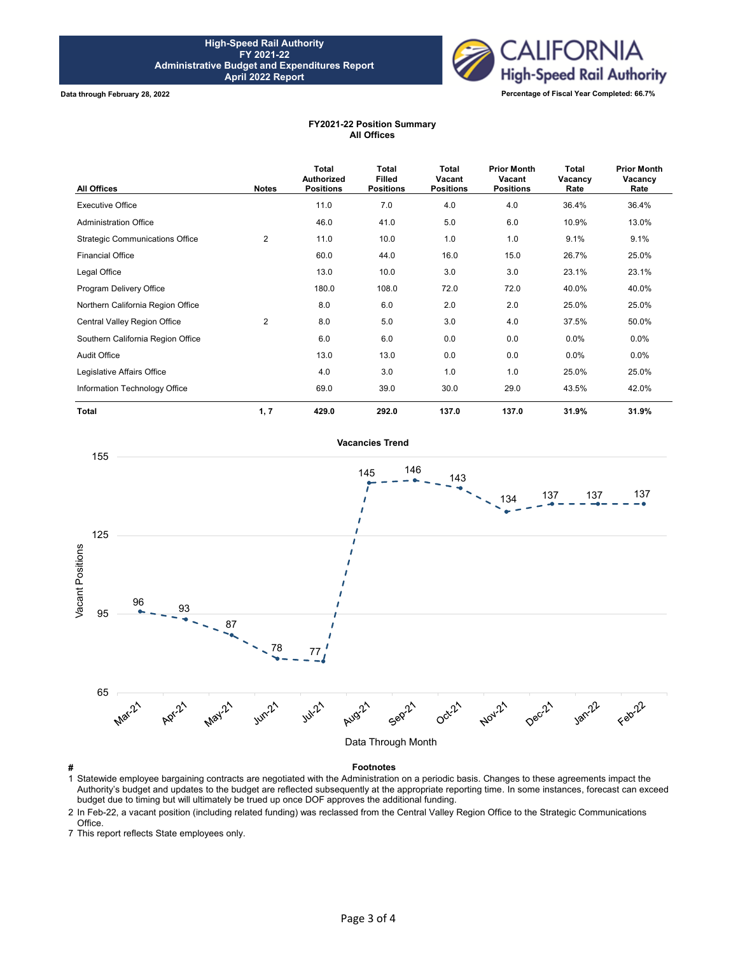

**Data through February 28, 2022**

## **FY2021-22 Position Summary All Offices**

| <b>All Offices</b>                     | <b>Notes</b>   | Total<br>Authorized<br><b>Positions</b> | <b>Total</b><br><b>Filled</b><br><b>Positions</b> | Total<br>Vacant<br><b>Positions</b> | <b>Prior Month</b><br>Vacant<br><b>Positions</b> | <b>Total</b><br>Vacancy<br>Rate | <b>Prior Month</b><br>Vacancy<br>Rate |
|----------------------------------------|----------------|-----------------------------------------|---------------------------------------------------|-------------------------------------|--------------------------------------------------|---------------------------------|---------------------------------------|
| <b>Executive Office</b>                |                | 11.0                                    | 7.0                                               | 4.0                                 | 4.0                                              | 36.4%                           | 36.4%                                 |
| <b>Administration Office</b>           |                | 46.0                                    | 41.0                                              | 5.0                                 | 6.0                                              | 10.9%                           | 13.0%                                 |
| <b>Strategic Communications Office</b> | $\overline{2}$ | 11.0                                    | 10.0                                              | 1.0                                 | 1.0                                              | 9.1%                            | 9.1%                                  |
| <b>Financial Office</b>                |                | 60.0                                    | 44.0                                              | 16.0                                | 15.0                                             | 26.7%                           | 25.0%                                 |
| Legal Office                           |                | 13.0                                    | 10.0                                              | 3.0                                 | 3.0                                              | 23.1%                           | 23.1%                                 |
| Program Delivery Office                |                | 180.0                                   | 108.0                                             | 72.0                                | 72.0                                             | 40.0%                           | 40.0%                                 |
| Northern California Region Office      |                | 8.0                                     | 6.0                                               | 2.0                                 | 2.0                                              | 25.0%                           | 25.0%                                 |
| Central Valley Region Office           | 2              | 8.0                                     | 5.0                                               | 3.0                                 | 4.0                                              | 37.5%                           | 50.0%                                 |
| Southern California Region Office      |                | 6.0                                     | 6.0                                               | 0.0                                 | 0.0                                              | 0.0%                            | $0.0\%$                               |
| <b>Audit Office</b>                    |                | 13.0                                    | 13.0                                              | 0.0                                 | 0.0                                              | 0.0%                            | $0.0\%$                               |
| Legislative Affairs Office             |                | 4.0                                     | 3.0                                               | 1.0                                 | 1.0                                              | 25.0%                           | 25.0%                                 |
| Information Technology Office          |                | 69.0                                    | 39.0                                              | 30.0                                | 29.0                                             | 43.5%                           | 42.0%                                 |
| <b>Total</b>                           | 1, 7           | 429.0                                   | 292.0                                             | 137.0                               | 137.0                                            | 31.9%                           | 31.9%                                 |



**# Footnotes** 1 Statewide employee bargaining contracts are negotiated with the Administration on a periodic basis. Changes to these agreements impact the Authority's budget and updates to the budget are reflected subsequently at the appropriate reporting time. In some instances, forecast can exceed budget due to timing but will ultimately be trued up once DOF approves the additional funding.

2 In Feb-22, a vacant position (including related funding) was reclassed from the Central Valley Region Office to the Strategic Communications Office.

7 This report reflects State employees only.